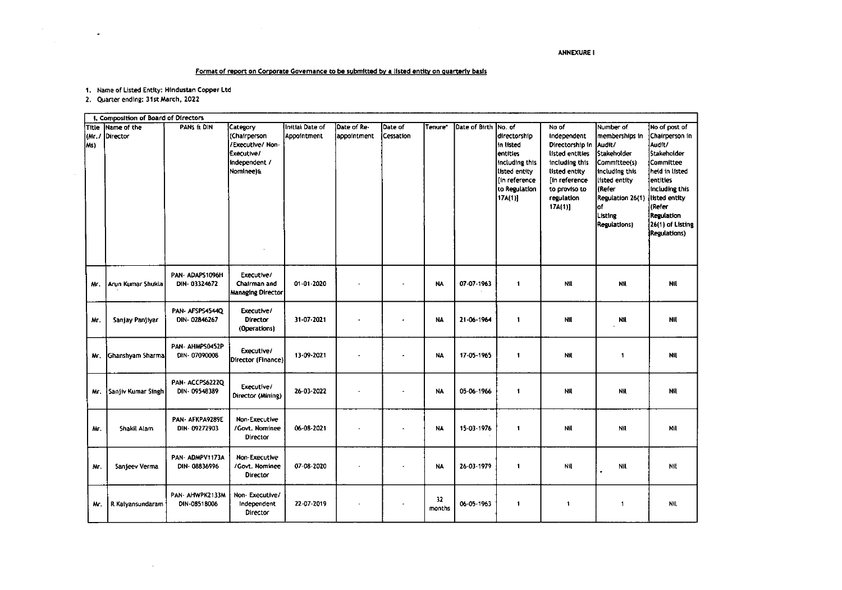## **ANNEXURE I**

 $\mathcal{L}_{\rm{max}}$ 

## Format of report on Corporate Governance to be submitted by a listed entity on quarterly basis

1. Name of Listed Entity: Hindustan Copper Ltd

2. Quarter ending: 31st March, 2022

 $\mathcal{L}(\mathcal{L})$  and  $\mathcal{L}(\mathcal{L})$  .

 $\sim 10^7$ 

|                         | I. Composition of Board of Directors |                                 |                                                                                        |                                |                            |                      |              |               |                                                                                                                                |                                                                                                                                                        |                                                                                                                                                                               |                                                                                                                                                                                                                                     |
|-------------------------|--------------------------------------|---------------------------------|----------------------------------------------------------------------------------------|--------------------------------|----------------------------|----------------------|--------------|---------------|--------------------------------------------------------------------------------------------------------------------------------|--------------------------------------------------------------------------------------------------------------------------------------------------------|-------------------------------------------------------------------------------------------------------------------------------------------------------------------------------|-------------------------------------------------------------------------------------------------------------------------------------------------------------------------------------------------------------------------------------|
| Title<br>(Mr. /<br>[Ms) | Name of the<br>Director              | PANS E DIN                      | Category<br>(Chairperson<br>/Executive/Non<br>Executive/<br>Independent /<br>Nominee)& | Initial Date of<br>Appointment | Date of Re-<br>appointment | Date of<br>Cessation | Tenure*      | Date of Birth | No. of<br>directorship<br>In listed<br>entities<br>Including this<br>listed entity<br>(in reference<br>to Regulation<br>17A(1) | No of<br>Independent<br>Directorship in<br>listed entities<br>including this<br>listed entity<br>In reference<br>to proviso to<br>regulation<br>17A(1) | Number of<br>memberships in<br>Audit/<br>Stakeholder<br>Committee(s)<br>including this<br>listed entity<br>(Refer<br>Regulation 26(1)<br>of<br>Listing<br><b>Regulations)</b> | No of post of<br>Chairperson in<br>Audit/<br><b>İStakeholder</b><br>Committee<br>iheld in listed<br>entíties<br>including this<br>listed entity<br><i>l</i> (Refer<br><b>Regulation</b><br>26(1) of Listing<br><b>Regulations</b> ) |
| Mr.                     | Arun Kumar Shukla                    | PAN-ADAPS1096H<br>DIN-03324672  | Executive/<br>Chairman and<br>Managing Director                                        | 01-01-2020                     |                            |                      | <b>NA</b>    | 07-07-1963    | $\mathbf{1}$                                                                                                                   | Nil                                                                                                                                                    | Nil                                                                                                                                                                           | Nil                                                                                                                                                                                                                                 |
| Mr.                     | Sanjay Panjiyar                      | PAN- AFSPS4544Q<br>DIN-02846267 | Executive/<br>Director<br>(Operations)                                                 | 31-07-2021                     |                            |                      | NA.          | 21-06-1964    | $\mathbf{1}$                                                                                                                   | Nil                                                                                                                                                    | Nil                                                                                                                                                                           | Nil                                                                                                                                                                                                                                 |
| Mr.                     | Ghanshyam Sharma                     | PAN- AHMPS0452P<br>DIN-07090008 | Executive/<br>Director (Finance)                                                       | 13-09-2021                     |                            |                      | <b>NA</b>    | 17-05-1965    | $\blacksquare$                                                                                                                 | Nil                                                                                                                                                    | $\blacksquare$                                                                                                                                                                | Nil                                                                                                                                                                                                                                 |
| Mr.                     | Sanjiy Kumar Singh                   | PAN-ACCPS62220<br>DIN 09548389  | Executive/<br>Director (Mining)                                                        | 26-03-2022                     | ż                          |                      | <b>NA</b>    | 05-06-1966    | $\blacksquare$                                                                                                                 | <b>Nil</b>                                                                                                                                             | Nil                                                                                                                                                                           | <b>Nil</b>                                                                                                                                                                                                                          |
| м.                      | Shakil Alam                          | PAN- AFKPA9289E<br>DIN-09272903 | Non-Executive<br>/Govt. Nominee<br><b>Director</b>                                     | 06-08-2021                     |                            |                      | <b>NA</b>    | 15-03-1976    | $\mathbf{1}$                                                                                                                   | <b>Nil</b>                                                                                                                                             | Nil                                                                                                                                                                           | Nil                                                                                                                                                                                                                                 |
| Mr.                     | Sanjeev Verma                        | PAN-ADMPV1173A<br>DIN-08836996  | Non-Executive<br>Govt. Nominee<br>Director                                             | 07-08-2020                     |                            |                      | <b>NA</b>    | 26-03-1979    | $\mathbf{1}$                                                                                                                   | Nil                                                                                                                                                    | Nil                                                                                                                                                                           | Nit                                                                                                                                                                                                                                 |
| Mr.                     | R Kalyansundaram                     | PAN- AHWPK2133M<br>DIN-08518006 | Non-Executive/<br>Independent<br>Director                                              | 22-07-2019                     |                            |                      | 32<br>months | 06-05-1963    | $\mathbf{1}$                                                                                                                   | $\ddot{\phantom{a}}$                                                                                                                                   | $\overline{1}$                                                                                                                                                                | Nil                                                                                                                                                                                                                                 |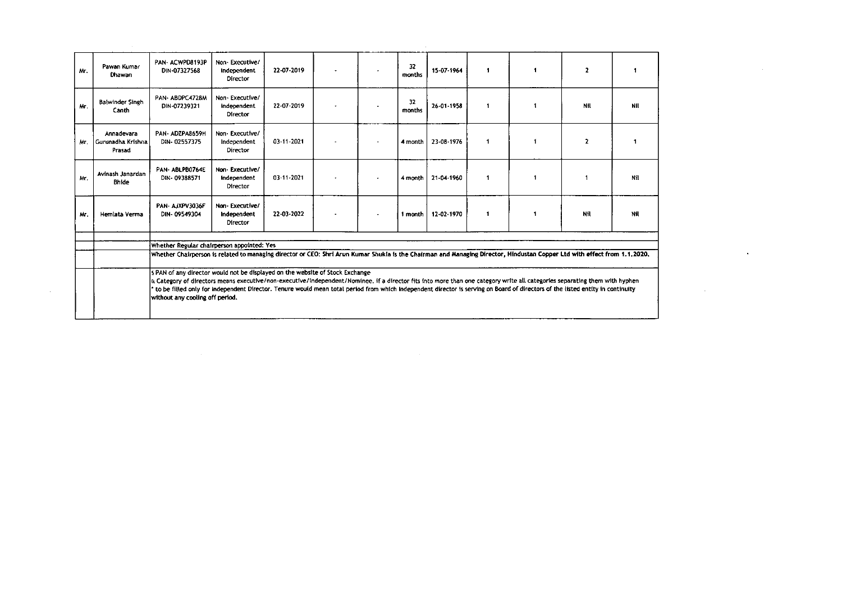|     |                                               | s PAN of any director would not be displayed on the website of Stock Exchange<br>a Category of directors means executive/non-executive/independent/Nominee. if a director fits into more than one category write all categories separating them with hyphen<br>to be filled only for independent Director. Tenure would mean total period from which independent director is serving on Board of directors of the listed entity in continuity<br>without any cooling off period. |                                                  |            |                          |                          |               |            |              |   |              |            |  |
|-----|-----------------------------------------------|----------------------------------------------------------------------------------------------------------------------------------------------------------------------------------------------------------------------------------------------------------------------------------------------------------------------------------------------------------------------------------------------------------------------------------------------------------------------------------|--------------------------------------------------|------------|--------------------------|--------------------------|---------------|------------|--------------|---|--------------|------------|--|
|     |                                               | Whether Regular chairperson appointed: Yes<br>Whether Chairperson is related to managing director or CEO: Shri Arun Kumar Shukia is the Chairman and Managing Director, Hindustan Copper Ltd with effect from 1.1.2020,                                                                                                                                                                                                                                                          |                                                  |            |                          |                          |               |            |              |   |              |            |  |
|     |                                               |                                                                                                                                                                                                                                                                                                                                                                                                                                                                                  |                                                  |            |                          |                          |               |            |              |   |              |            |  |
| Mr. | Hemlata Verma                                 | PAN-AJXPV3036F<br>DIN-09549304                                                                                                                                                                                                                                                                                                                                                                                                                                                   | Non-Executive/<br>Independent<br>Director        | 22-03-2022 |                          | $\;$                     | 1 month       | 12-02-1970 | -1           |   | Nil          | Nil        |  |
| Mr. | Avinash Janardan<br><b>Bhide</b>              | PAN-ABLPB0764E<br>DIN-09388571                                                                                                                                                                                                                                                                                                                                                                                                                                                   | Non-Executive/<br>Independent<br>Director        | 03-11-2021 |                          | $\overline{\phantom{a}}$ | 4 month       | 21-04-1960 | $\mathbf{1}$ |   |              | Nfl        |  |
| Mr. | Annadevara<br>  Gurunadha Krishna  <br>Prasad | PAN-ADZPA8659H<br>DIN-02557375                                                                                                                                                                                                                                                                                                                                                                                                                                                   | Non-Executive/<br>Independent<br>Director        | 03-11-2021 |                          | $\overline{\phantom{a}}$ | 4 month       | 23-08-1976 | $\mathbf{1}$ |   | $\mathbf{z}$ |            |  |
| Mr. | <b>Balwinder Singh</b><br>Canth               | PAN-ABDPC4728M<br>DIN-07239321                                                                                                                                                                                                                                                                                                                                                                                                                                                   | Non-Executive/<br>independent<br>Director        | 22-07-2019 | ۰                        | $\sim$                   | -32<br>months | 26-01-1958 | -1           |   | NIL          | <b>Nil</b> |  |
| Mr. | Pawan Kumar<br>Dhawan                         | PAN-ACWPD8193P<br>DIN-07327568                                                                                                                                                                                                                                                                                                                                                                                                                                                   | Non-Executive/<br>Independent<br><b>Director</b> | 22-07-2019 | $\overline{\phantom{a}}$ | $\overline{\phantom{a}}$ | 32<br>months  | 15-07-1964 | п.           | 1 | $\mathbf{z}$ |            |  |

 $\mathcal{L}(\mathcal{L}(\mathcal{L}))$  and the set of the set of the set of the set of the set of the set of the set of the set of the set of the set of the set of the set of the set of the set of the set of the set of the set of the set o

 $\mathcal{L}(\mathcal{L}(\mathcal{L}))$  and  $\mathcal{L}(\mathcal{L}(\mathcal{L}))$  . The set of  $\mathcal{L}(\mathcal{L})$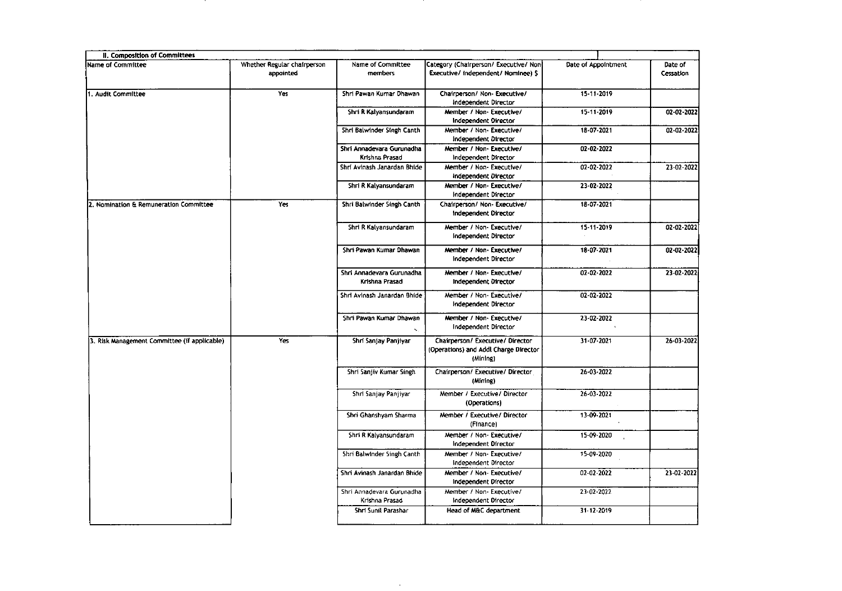| II. Composition of Committees                |                                          |                                             |                                                                                       |                     |                      |
|----------------------------------------------|------------------------------------------|---------------------------------------------|---------------------------------------------------------------------------------------|---------------------|----------------------|
| Name of Committee                            | Whether Regular chairperson<br>appointed | Name of Committee<br>members                | Category (Chairperson/ Executive/ Non-<br>Executive/ Independent/ Nominee) \$         | Date of Appointment | Date of<br>Cessation |
| 1. Audit Committee                           | Yes                                      | Shri Pawan Kumar Dhawan                     | Chairperson/ Non- Executive/<br>Independent Director                                  | 15-11-2019          |                      |
|                                              |                                          | Shri R Kalyansundaram                       | Member / Non- Executive/<br><b>Independent Director</b>                               | 15-11-2019          | 02-02-2022           |
|                                              |                                          | Shri Balwinder Singh Canth                  | Member / Non- Executive/<br>Independent Director                                      | 18-07-2021          | 02-02-2022           |
|                                              |                                          | Shri Annadevara Gurunadha<br>Krishna Prasad | Member / Non- Executive/<br>Independent Director                                      | 02-02-2022          |                      |
|                                              |                                          | Shri Avinash Janardan Bhide                 | Member / Non- Executive/<br>Independent Director                                      | 02-02-2022          | 23-02-2022           |
|                                              |                                          | Shri R Kalyansundaram                       | Member / Non-Executive/<br>Independent Director                                       | 23-02-2022          |                      |
| 2. Nomination & Remuneration Committee       | Yes                                      | Shri Balwinder Singh Canth                  | Chairperson/ Non- Executive/<br>Independent Director                                  | 18-07-2021          |                      |
|                                              |                                          | Shri R Kalyansundaram                       | Member / Non- Executive/<br>Independent Director                                      | 15 11 2019          | 02-02-2022           |
|                                              |                                          | Shri Pawan Kumar Dhawan                     | Member / Non- Executive/<br>Independent Director                                      | 18-07-2021          | 02-02-2022           |
|                                              |                                          | Shri Annadevara Gurunadha<br>Krishna Prasad | Member / Non- Executive/<br>Independent Director                                      | 02 02 2022          | 23-02-2022           |
|                                              |                                          | Shri Avinash Janardan Bhide                 | Member / Non- Executive/<br>Independent Director                                      | 02-02-2022          |                      |
|                                              |                                          | Shri Pawan Kumar Dhawan                     | Member / Non- Executive/<br>Independent Director                                      | 23 02 2022          |                      |
| 3. Risk Management Committee (if applicable) | Yes                                      | Shri Sanjay Panjiyar                        | Chairperson/ Executive/ Director<br>(Operations) and Addl Charge Director<br>(Mining) | 31.07.2021          | 26-03-2022           |
|                                              |                                          | Shri Sanjiv Kumar Singh                     | Chairperson/ Executive/ Director<br>(Mining)                                          | 26-03-2022          |                      |
|                                              |                                          | Shri Sanjay Panjiyar                        | Member / Executive/ Director<br>(Operations)                                          | 26-03-2022          |                      |
|                                              |                                          | Shri Ghanshyam Sharma                       | Member / Executive/ Director<br>(Finance)                                             | 13-09-2021          |                      |
|                                              |                                          | Shri R Kalyansundaram                       | Member / Non-Executive/<br>Independent Director                                       | 15-09-2020          |                      |
|                                              |                                          | Shri Balwinder Singh Canth                  | Member / Non- Executive/<br>Independent Director                                      | 15 09 2020          |                      |
|                                              |                                          | Shri Avinash Janardan Bhide                 | Member / Non-Executive/<br>Independent Director                                       | 02-02-2022          | 23-02-2022           |
|                                              |                                          | Shri Annadevara Gurunadha<br>Krishna Prasad | Member / Non- Executive/<br>Independent Director                                      | 23 02 2022          |                      |
|                                              |                                          | Shri Sunil Parashar                         | Head of M&C department                                                                | 31-12-2019          |                      |

 $\sim 10^{-1}$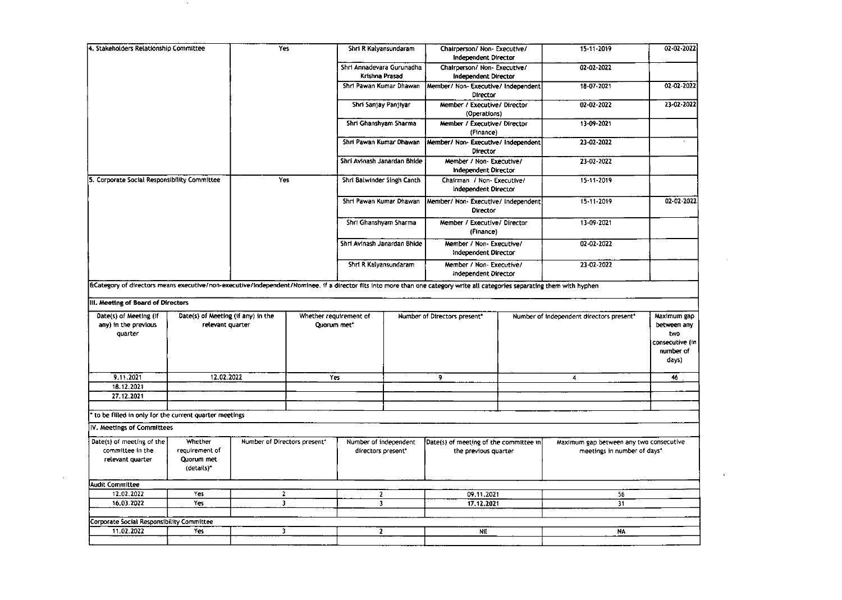| Yes<br>4. Stakeholders Relationship Committee<br>Chairperson/ Non- Executive/<br>$15 - 11 - 2019$<br>Shri R Kalyansundaram<br><b>Independent Director</b><br>Shri Annadevara Gurunadha<br>02-02-2022<br>Chairperson/ Non- Executive/<br>Krishna Prasad<br>Independent Director<br>18-07-2021<br>Shri Pawan Kumar Dhawan<br>Member/ Non- Executive/ Independent<br>Director<br>Shri Sanjay Panjiyar<br>Member / Executive/ Director<br>02-02-2022<br>(Operations)<br>Shri Ghanshyam Sharma<br>Member / Executive/ Director<br>13-09-2021<br>(Finance)<br>Shri Pawan Kumar Dhawan<br>Member/ Non- Executive/ Independent<br>23-02-2022<br>Director<br>Shri Avinash Janardan Bhide<br>23-02-2022<br>Member / Non- Executive/<br><b>Independent Director</b><br>5. Corporate Social Responsibility Committee<br>Yes<br>Shri Balwinder Singh Canth<br>15-11-2019<br>Chairman / Non- Executive/<br>Independent Director<br>$15 - 11 - 2019$<br>Shri Pawan Kumar Dhawan<br>Member/ Non- Executive/ Independent<br><b>Director</b><br>Shri Ghanshyam Sharma<br>Member / Executive/ Director<br>13-09-2021<br>(Finance)<br>Shri Avinash Janardan Bhide<br>Member / Non-Executive/<br>02-02-2022<br>Independent Director<br>Shri R Kalyansundaram<br>Member / Non- Executive/<br>23 02 2022<br>Independent Director<br>ECategory of directors means executive/non-executive/independent/Nominee. If a director fits into more than one category write all categories separating them with hyphen<br>III. Meeting of Board of Directors<br>Date(s) of Meeting (if<br>Date(s) of Meeting (if any) in the<br>Whether requirement of<br>Number of Directors present"<br>Number of independent directors present"<br>Maximum gap<br>any) in the previous<br>relevant quarter<br>Quorum met*<br>between any<br>quarter<br>two<br>number of<br>days)<br>12.02.2022<br>9.11.2021<br>Yes<br>9<br>46<br>4<br>18.12.2021<br>27.12.2021<br>to be filled in only for the current quarter meetings<br>IV. Meetings of Committees<br>Date(s) of meeting of the<br>Whether<br>Number of Directors present"<br>Number of independent<br>Date(s) of meeting of the committee in<br>Maximum gap between any two consecutive<br>committee in the<br>requirement of<br>meetings in number of days*<br>directors present*<br>the previous quarter<br>Quorum met<br>relevant quarter<br>(details)*<br><b>Audit Committee</b><br>12.02.2022<br>Yes<br>$\mathbf{z}$<br>$\mathbf{2}$<br>09.11.2021<br>56<br>16.03.2022<br>Yes<br>$\overline{\mathbf{3}}$<br>17.12.2021<br>31<br>$\overline{\mathbf{3}}$<br>Corporate Social Responsibility Committee<br>11.02.2022<br>Yes<br>3<br>$2-1$<br>Nit<br>NA. |  |  |  |  |                 |
|-------------------------------------------------------------------------------------------------------------------------------------------------------------------------------------------------------------------------------------------------------------------------------------------------------------------------------------------------------------------------------------------------------------------------------------------------------------------------------------------------------------------------------------------------------------------------------------------------------------------------------------------------------------------------------------------------------------------------------------------------------------------------------------------------------------------------------------------------------------------------------------------------------------------------------------------------------------------------------------------------------------------------------------------------------------------------------------------------------------------------------------------------------------------------------------------------------------------------------------------------------------------------------------------------------------------------------------------------------------------------------------------------------------------------------------------------------------------------------------------------------------------------------------------------------------------------------------------------------------------------------------------------------------------------------------------------------------------------------------------------------------------------------------------------------------------------------------------------------------------------------------------------------------------------------------------------------------------------------------------------------------------------------------------------------------------------------------------------------------------------------------------------------------------------------------------------------------------------------------------------------------------------------------------------------------------------------------------------------------------------------------------------------------------------------------------------------------------------------------------------------------------------------------------------------------------------------------------------------------------------------------------------------------------|--|--|--|--|-----------------|
|                                                                                                                                                                                                                                                                                                                                                                                                                                                                                                                                                                                                                                                                                                                                                                                                                                                                                                                                                                                                                                                                                                                                                                                                                                                                                                                                                                                                                                                                                                                                                                                                                                                                                                                                                                                                                                                                                                                                                                                                                                                                                                                                                                                                                                                                                                                                                                                                                                                                                                                                                                                                                                                                   |  |  |  |  | 02-02-2022      |
|                                                                                                                                                                                                                                                                                                                                                                                                                                                                                                                                                                                                                                                                                                                                                                                                                                                                                                                                                                                                                                                                                                                                                                                                                                                                                                                                                                                                                                                                                                                                                                                                                                                                                                                                                                                                                                                                                                                                                                                                                                                                                                                                                                                                                                                                                                                                                                                                                                                                                                                                                                                                                                                                   |  |  |  |  |                 |
|                                                                                                                                                                                                                                                                                                                                                                                                                                                                                                                                                                                                                                                                                                                                                                                                                                                                                                                                                                                                                                                                                                                                                                                                                                                                                                                                                                                                                                                                                                                                                                                                                                                                                                                                                                                                                                                                                                                                                                                                                                                                                                                                                                                                                                                                                                                                                                                                                                                                                                                                                                                                                                                                   |  |  |  |  | 02-02-2022      |
|                                                                                                                                                                                                                                                                                                                                                                                                                                                                                                                                                                                                                                                                                                                                                                                                                                                                                                                                                                                                                                                                                                                                                                                                                                                                                                                                                                                                                                                                                                                                                                                                                                                                                                                                                                                                                                                                                                                                                                                                                                                                                                                                                                                                                                                                                                                                                                                                                                                                                                                                                                                                                                                                   |  |  |  |  | 23-02-2022      |
|                                                                                                                                                                                                                                                                                                                                                                                                                                                                                                                                                                                                                                                                                                                                                                                                                                                                                                                                                                                                                                                                                                                                                                                                                                                                                                                                                                                                                                                                                                                                                                                                                                                                                                                                                                                                                                                                                                                                                                                                                                                                                                                                                                                                                                                                                                                                                                                                                                                                                                                                                                                                                                                                   |  |  |  |  |                 |
|                                                                                                                                                                                                                                                                                                                                                                                                                                                                                                                                                                                                                                                                                                                                                                                                                                                                                                                                                                                                                                                                                                                                                                                                                                                                                                                                                                                                                                                                                                                                                                                                                                                                                                                                                                                                                                                                                                                                                                                                                                                                                                                                                                                                                                                                                                                                                                                                                                                                                                                                                                                                                                                                   |  |  |  |  |                 |
|                                                                                                                                                                                                                                                                                                                                                                                                                                                                                                                                                                                                                                                                                                                                                                                                                                                                                                                                                                                                                                                                                                                                                                                                                                                                                                                                                                                                                                                                                                                                                                                                                                                                                                                                                                                                                                                                                                                                                                                                                                                                                                                                                                                                                                                                                                                                                                                                                                                                                                                                                                                                                                                                   |  |  |  |  |                 |
|                                                                                                                                                                                                                                                                                                                                                                                                                                                                                                                                                                                                                                                                                                                                                                                                                                                                                                                                                                                                                                                                                                                                                                                                                                                                                                                                                                                                                                                                                                                                                                                                                                                                                                                                                                                                                                                                                                                                                                                                                                                                                                                                                                                                                                                                                                                                                                                                                                                                                                                                                                                                                                                                   |  |  |  |  |                 |
|                                                                                                                                                                                                                                                                                                                                                                                                                                                                                                                                                                                                                                                                                                                                                                                                                                                                                                                                                                                                                                                                                                                                                                                                                                                                                                                                                                                                                                                                                                                                                                                                                                                                                                                                                                                                                                                                                                                                                                                                                                                                                                                                                                                                                                                                                                                                                                                                                                                                                                                                                                                                                                                                   |  |  |  |  | 02-02-2022      |
|                                                                                                                                                                                                                                                                                                                                                                                                                                                                                                                                                                                                                                                                                                                                                                                                                                                                                                                                                                                                                                                                                                                                                                                                                                                                                                                                                                                                                                                                                                                                                                                                                                                                                                                                                                                                                                                                                                                                                                                                                                                                                                                                                                                                                                                                                                                                                                                                                                                                                                                                                                                                                                                                   |  |  |  |  |                 |
|                                                                                                                                                                                                                                                                                                                                                                                                                                                                                                                                                                                                                                                                                                                                                                                                                                                                                                                                                                                                                                                                                                                                                                                                                                                                                                                                                                                                                                                                                                                                                                                                                                                                                                                                                                                                                                                                                                                                                                                                                                                                                                                                                                                                                                                                                                                                                                                                                                                                                                                                                                                                                                                                   |  |  |  |  |                 |
|                                                                                                                                                                                                                                                                                                                                                                                                                                                                                                                                                                                                                                                                                                                                                                                                                                                                                                                                                                                                                                                                                                                                                                                                                                                                                                                                                                                                                                                                                                                                                                                                                                                                                                                                                                                                                                                                                                                                                                                                                                                                                                                                                                                                                                                                                                                                                                                                                                                                                                                                                                                                                                                                   |  |  |  |  |                 |
|                                                                                                                                                                                                                                                                                                                                                                                                                                                                                                                                                                                                                                                                                                                                                                                                                                                                                                                                                                                                                                                                                                                                                                                                                                                                                                                                                                                                                                                                                                                                                                                                                                                                                                                                                                                                                                                                                                                                                                                                                                                                                                                                                                                                                                                                                                                                                                                                                                                                                                                                                                                                                                                                   |  |  |  |  |                 |
|                                                                                                                                                                                                                                                                                                                                                                                                                                                                                                                                                                                                                                                                                                                                                                                                                                                                                                                                                                                                                                                                                                                                                                                                                                                                                                                                                                                                                                                                                                                                                                                                                                                                                                                                                                                                                                                                                                                                                                                                                                                                                                                                                                                                                                                                                                                                                                                                                                                                                                                                                                                                                                                                   |  |  |  |  | consecutive (in |
|                                                                                                                                                                                                                                                                                                                                                                                                                                                                                                                                                                                                                                                                                                                                                                                                                                                                                                                                                                                                                                                                                                                                                                                                                                                                                                                                                                                                                                                                                                                                                                                                                                                                                                                                                                                                                                                                                                                                                                                                                                                                                                                                                                                                                                                                                                                                                                                                                                                                                                                                                                                                                                                                   |  |  |  |  |                 |
|                                                                                                                                                                                                                                                                                                                                                                                                                                                                                                                                                                                                                                                                                                                                                                                                                                                                                                                                                                                                                                                                                                                                                                                                                                                                                                                                                                                                                                                                                                                                                                                                                                                                                                                                                                                                                                                                                                                                                                                                                                                                                                                                                                                                                                                                                                                                                                                                                                                                                                                                                                                                                                                                   |  |  |  |  |                 |
|                                                                                                                                                                                                                                                                                                                                                                                                                                                                                                                                                                                                                                                                                                                                                                                                                                                                                                                                                                                                                                                                                                                                                                                                                                                                                                                                                                                                                                                                                                                                                                                                                                                                                                                                                                                                                                                                                                                                                                                                                                                                                                                                                                                                                                                                                                                                                                                                                                                                                                                                                                                                                                                                   |  |  |  |  |                 |
|                                                                                                                                                                                                                                                                                                                                                                                                                                                                                                                                                                                                                                                                                                                                                                                                                                                                                                                                                                                                                                                                                                                                                                                                                                                                                                                                                                                                                                                                                                                                                                                                                                                                                                                                                                                                                                                                                                                                                                                                                                                                                                                                                                                                                                                                                                                                                                                                                                                                                                                                                                                                                                                                   |  |  |  |  |                 |
|                                                                                                                                                                                                                                                                                                                                                                                                                                                                                                                                                                                                                                                                                                                                                                                                                                                                                                                                                                                                                                                                                                                                                                                                                                                                                                                                                                                                                                                                                                                                                                                                                                                                                                                                                                                                                                                                                                                                                                                                                                                                                                                                                                                                                                                                                                                                                                                                                                                                                                                                                                                                                                                                   |  |  |  |  |                 |
|                                                                                                                                                                                                                                                                                                                                                                                                                                                                                                                                                                                                                                                                                                                                                                                                                                                                                                                                                                                                                                                                                                                                                                                                                                                                                                                                                                                                                                                                                                                                                                                                                                                                                                                                                                                                                                                                                                                                                                                                                                                                                                                                                                                                                                                                                                                                                                                                                                                                                                                                                                                                                                                                   |  |  |  |  |                 |
|                                                                                                                                                                                                                                                                                                                                                                                                                                                                                                                                                                                                                                                                                                                                                                                                                                                                                                                                                                                                                                                                                                                                                                                                                                                                                                                                                                                                                                                                                                                                                                                                                                                                                                                                                                                                                                                                                                                                                                                                                                                                                                                                                                                                                                                                                                                                                                                                                                                                                                                                                                                                                                                                   |  |  |  |  |                 |
|                                                                                                                                                                                                                                                                                                                                                                                                                                                                                                                                                                                                                                                                                                                                                                                                                                                                                                                                                                                                                                                                                                                                                                                                                                                                                                                                                                                                                                                                                                                                                                                                                                                                                                                                                                                                                                                                                                                                                                                                                                                                                                                                                                                                                                                                                                                                                                                                                                                                                                                                                                                                                                                                   |  |  |  |  |                 |
|                                                                                                                                                                                                                                                                                                                                                                                                                                                                                                                                                                                                                                                                                                                                                                                                                                                                                                                                                                                                                                                                                                                                                                                                                                                                                                                                                                                                                                                                                                                                                                                                                                                                                                                                                                                                                                                                                                                                                                                                                                                                                                                                                                                                                                                                                                                                                                                                                                                                                                                                                                                                                                                                   |  |  |  |  |                 |
|                                                                                                                                                                                                                                                                                                                                                                                                                                                                                                                                                                                                                                                                                                                                                                                                                                                                                                                                                                                                                                                                                                                                                                                                                                                                                                                                                                                                                                                                                                                                                                                                                                                                                                                                                                                                                                                                                                                                                                                                                                                                                                                                                                                                                                                                                                                                                                                                                                                                                                                                                                                                                                                                   |  |  |  |  |                 |
|                                                                                                                                                                                                                                                                                                                                                                                                                                                                                                                                                                                                                                                                                                                                                                                                                                                                                                                                                                                                                                                                                                                                                                                                                                                                                                                                                                                                                                                                                                                                                                                                                                                                                                                                                                                                                                                                                                                                                                                                                                                                                                                                                                                                                                                                                                                                                                                                                                                                                                                                                                                                                                                                   |  |  |  |  |                 |

 $\sim 1000$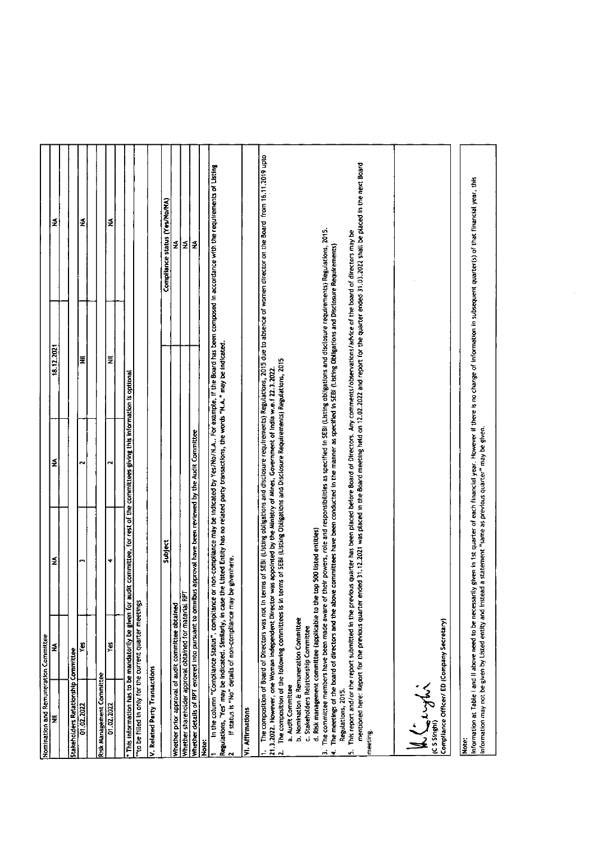| Nomination and Remuneration Committee<br>I≅                       | ∣≨                                                                                                    | ≨                                                                                                                               | ≨                                                                                       | 18.12.2021                                                                                                                                                                                                                                                                                                    | ₹                                                                                                                                                                                                          |
|-------------------------------------------------------------------|-------------------------------------------------------------------------------------------------------|---------------------------------------------------------------------------------------------------------------------------------|-----------------------------------------------------------------------------------------|---------------------------------------------------------------------------------------------------------------------------------------------------------------------------------------------------------------------------------------------------------------------------------------------------------------|------------------------------------------------------------------------------------------------------------------------------------------------------------------------------------------------------------|
|                                                                   |                                                                                                       |                                                                                                                                 |                                                                                         |                                                                                                                                                                                                                                                                                                               |                                                                                                                                                                                                            |
| Stakeholders Relationship Committee                               |                                                                                                       |                                                                                                                                 |                                                                                         |                                                                                                                                                                                                                                                                                                               |                                                                                                                                                                                                            |
| 01.02.2022                                                        | £                                                                                                     | m                                                                                                                               | N                                                                                       | ž                                                                                                                                                                                                                                                                                                             | ₹                                                                                                                                                                                                          |
| Risk Management Committee                                         |                                                                                                       |                                                                                                                                 |                                                                                         |                                                                                                                                                                                                                                                                                                               |                                                                                                                                                                                                            |
| 01.02.2022                                                        | Yes                                                                                                   | ▾                                                                                                                               | N                                                                                       | ₹                                                                                                                                                                                                                                                                                                             | ₹                                                                                                                                                                                                          |
| This information has to be mandatorily be given for a             |                                                                                                       |                                                                                                                                 | udit committee, for rest of the committees giving this information is optional          |                                                                                                                                                                                                                                                                                                               |                                                                                                                                                                                                            |
| "to be filled in only for the current quarter meetings            |                                                                                                       |                                                                                                                                 |                                                                                         |                                                                                                                                                                                                                                                                                                               |                                                                                                                                                                                                            |
| V. Related Party Transactions                                     |                                                                                                       |                                                                                                                                 |                                                                                         |                                                                                                                                                                                                                                                                                                               |                                                                                                                                                                                                            |
|                                                                   |                                                                                                       | subject                                                                                                                         |                                                                                         |                                                                                                                                                                                                                                                                                                               | Compliance status (Yes/No/NA)                                                                                                                                                                              |
| Whether prior approval of audit committee obtained                |                                                                                                       |                                                                                                                                 |                                                                                         |                                                                                                                                                                                                                                                                                                               | Ź                                                                                                                                                                                                          |
| Whether shareholder approval obtained for material RPT            |                                                                                                       |                                                                                                                                 |                                                                                         |                                                                                                                                                                                                                                                                                                               | ₹                                                                                                                                                                                                          |
|                                                                   |                                                                                                       | Whether details of RPT entered into pursuant to omnibus approval have been reviewed by the Audit Committee                      |                                                                                         |                                                                                                                                                                                                                                                                                                               | ₹                                                                                                                                                                                                          |
| Regulations, "Yes" may be indicated. Similarly, in case<br>Note:  | In the column "Compliance Status", compliance<br>If status is "No" details of non-compliance may      | be givenhere.                                                                                                                   | the Listed Entity has no related party transactions, the words "N.A." may be indicated. |                                                                                                                                                                                                                                                                                                               | or non-compliance may be indicated by Yes/No/N.A For example, if the Board has been composed in accordance with the requirements of Listing                                                                |
| VI. Affirmations                                                  |                                                                                                       |                                                                                                                                 |                                                                                         |                                                                                                                                                                                                                                                                                                               |                                                                                                                                                                                                            |
|                                                                   | The composition of the following committees is in<br>The composition of Board of Directors was not in | 21.3.2022. However, one Woman Independent Director was appointed by the Ministry of Mines, Government of India w.e.f 22.3.2022. | terms of SEBI (Listing Obligations and Disclosure Requirements) Regulations, 2015       |                                                                                                                                                                                                                                                                                                               | terms of SEBI (Listing obligations and disclosure requirements) Regulations, 2015 due to absence of women director on the Board from 16.11.2019 upto                                                       |
| c. Stakeholders Relationship Committee<br>a. Audit Committee<br>▼ | The committee members have been made aware of<br>b. Nomination & Remuneration Committee               | d. Risk management committee (applicable to the top 500 listed entities)                                                        |                                                                                         | their powers, role and responsibilities as specified in SEBI (Listing obligations and disclosure requirements) Regulations, 2015.<br>The meetings of the board of directors and the above committees have been conducted in the manner as specified in SEBI (Listing Obligations and Disclosure Requirements) |                                                                                                                                                                                                            |
| Regulations, 2015.<br>meeting.                                    | mentioned here: Report for the previous quarter                                                       |                                                                                                                                 |                                                                                         | This report and/or the report submitted in the previous quarter has been placed before Board of Directors. Any comments/observations/advice of the board of directors may be                                                                                                                                  | ended 31.12.2021 was placed in the Board meeting held on 12.02.2022 and report for the quarter ended 31.03.2022 shall be placed in the next Board                                                          |
|                                                                   |                                                                                                       |                                                                                                                                 |                                                                                         |                                                                                                                                                                                                                                                                                                               |                                                                                                                                                                                                            |
| Compliance Officer/ ED (Company Secretary)<br>LE Cryptis          |                                                                                                       |                                                                                                                                 |                                                                                         |                                                                                                                                                                                                                                                                                                               |                                                                                                                                                                                                            |
| Note:                                                             |                                                                                                       | information may not be given by Listed entity and instead a statement "same as previous quarter" may be given.                  |                                                                                         |                                                                                                                                                                                                                                                                                                               | Information at Table I and II above need to be necessarily given in 1st quarter of each financial year. However if there is no change of information in subsequent quarter(s) of that financial year, this |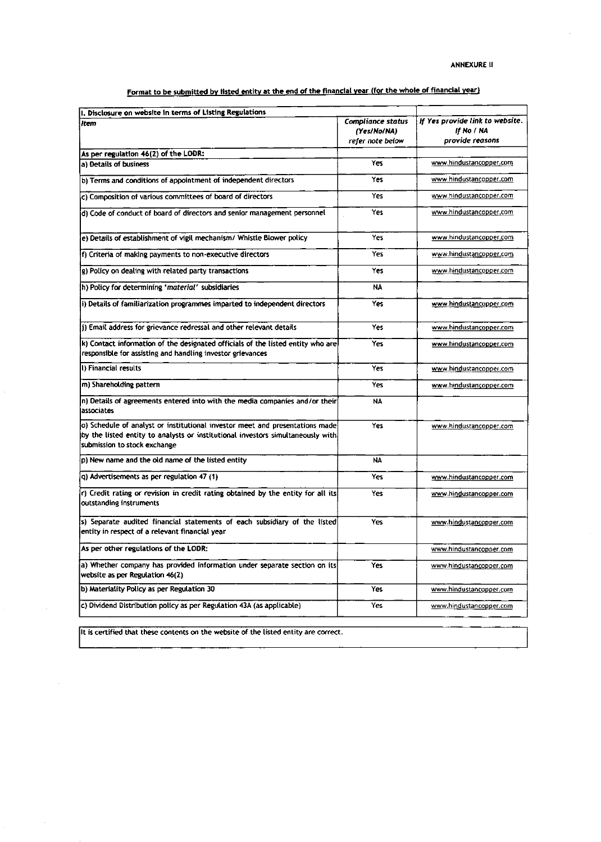Format to be submitted by listed entity at the end of the financial year (for the whole of financial year)

| I. Disclosure on website in terms of Listing Regulations<br>litem                                                                                                                                | <b>Compliance status</b>        | If Yes provide link to website. |
|--------------------------------------------------------------------------------------------------------------------------------------------------------------------------------------------------|---------------------------------|---------------------------------|
|                                                                                                                                                                                                  | (Yes/No/NA)<br>refer note below | If No / NA<br>provide reasons   |
| As per regulation 46(2) of the LODR:                                                                                                                                                             |                                 |                                 |
| a) Details of business                                                                                                                                                                           | Yes                             | www.hindustancopper.com         |
| b) Terms and conditions of appointment of independent directors                                                                                                                                  | Yes                             | www.hindustancopper.com         |
| c) Composition of various committees of board of directors                                                                                                                                       | Yes                             | www.hindustancopper.com         |
| d) Code of conduct of board of directors and senior management personnel                                                                                                                         | Yes                             | www.hindustancopper.com         |
| e) Details of establishment of vigil mechanism/ Whistle Blower policy                                                                                                                            | Yes                             | www.hindustancopper.com         |
| f) Criteria of making payments to non-executive directors                                                                                                                                        | Yes                             | www.hindustancopper.com         |
| g) Policy on dealing with related party transactions                                                                                                                                             | Yes                             | www.hindustancopper.com         |
| h) Policy for determining 'material' subsidiaries                                                                                                                                                | <b>NA</b>                       |                                 |
| i) Details of familiarization programmes imparted to independent directors                                                                                                                       | Yes                             | www.hindustancopper.com         |
| j) Email address for grievance redressal and other relevant details                                                                                                                              | Yes                             | www.hindustancopper.com         |
| k) Contact information of the designated officials of the listed entity who are<br>responsible for assisting and handling investor grievances                                                    | Yes                             | www.hindustancopper.com         |
| I) Financial results                                                                                                                                                                             | Yes                             | www.hindustancopper.com         |
| m) Shareholding pattern                                                                                                                                                                          | Yes                             | www.hindustancopper.com         |
| n) Details of agreements entered into with the media companies and/or their<br>lassociates                                                                                                       | <b>NA</b>                       |                                 |
| o) Schedule of analyst or institutional investor meet and presentations made<br>by the listed entity to analysts or institutional investors simultaneously with.<br>submission to stock exchange | Yes                             | www.hindustancopper.com         |
| p) New name and the old name of the listed entity                                                                                                                                                | NA                              |                                 |
| q) Advertisements as per regulation 47 (1)                                                                                                                                                       | Yes                             | www.hindustancopper.com         |
| r) Credit rating or revision in credit rating obtained by the entity for all its<br>outstanding instruments                                                                                      | Yes                             | www.hindustancopper.com         |
| s) Separate audited financial statements of each subsidiary of the listed<br>entity in respect of a relevant financial year                                                                      | Yes                             | www.hindustancopper.com         |
| As per other regulations of the LODR:                                                                                                                                                            |                                 | www.hindustancopper.com         |
| a) Whether company has provided information under separate section on its<br>website as per Regulation 46(2)                                                                                     | Yes                             | www.hindustancopper.com         |
| b) Materiality Policy as per Regulation 30                                                                                                                                                       | Yes                             | www.hindustancopper.com         |
| c) Dividend Distribution policy as per Regulation 43A (as applicable)                                                                                                                            | Yes                             | www.hindustancopper.com         |

It is certified that these contents on the website of the listed entity are correct.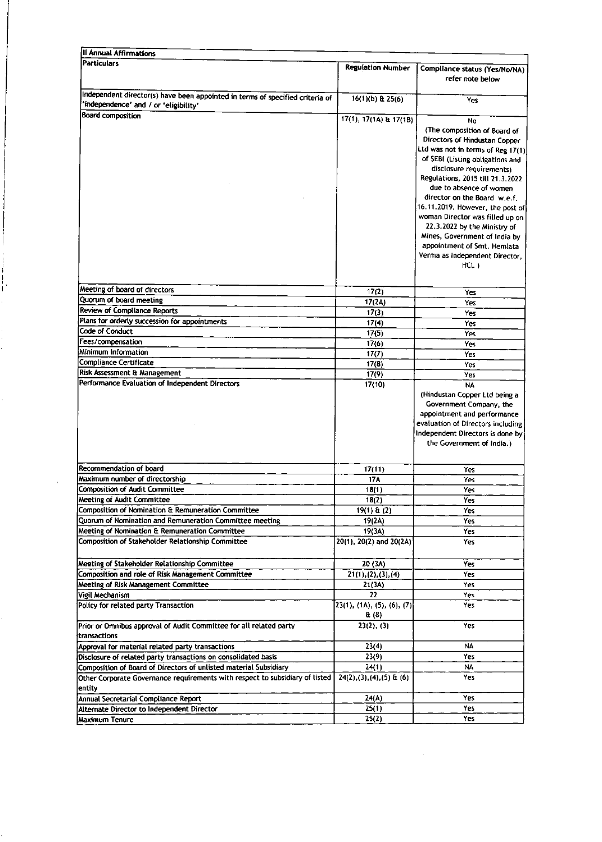| Il Annual Affirmations                                                                                                 |                                     |                                                                                                                                                                                                                                                                                                                                                                                                                                                                                          |
|------------------------------------------------------------------------------------------------------------------------|-------------------------------------|------------------------------------------------------------------------------------------------------------------------------------------------------------------------------------------------------------------------------------------------------------------------------------------------------------------------------------------------------------------------------------------------------------------------------------------------------------------------------------------|
| <b>Particulars</b>                                                                                                     | Regulation Number                   | Compliance status (Yes/No/NA)<br>refer note below                                                                                                                                                                                                                                                                                                                                                                                                                                        |
| Independent director(s) have been appointed in terms of specified criteria of<br>'independence' and / or 'eligibility' | 16(1)(b) & 25(6)                    | Yes                                                                                                                                                                                                                                                                                                                                                                                                                                                                                      |
| <b>Board composition</b>                                                                                               | 17(1), 17(1A) & 17(1B)              | No<br>(The composition of Board of<br>Directors of Hindustan Copper<br>Ltd was not in terms of Reg 17(1)<br>of SEBI (Listing obligations and<br>disclosure requirements)<br>Regulations, 2015 till 21.3.2022<br>due to absence of women<br>director on the Board w.e.f.<br>16.11.2019. However, the post of<br>woman Director was filled up on<br>22.3.2022 by the Ministry of<br>Mines, Government of India by<br>appointment of Smt. Hemlata<br>Verma as independent Director,<br>HCL) |
| Meeting of board of directors                                                                                          | 17(2)                               | Yes                                                                                                                                                                                                                                                                                                                                                                                                                                                                                      |
| Quorum of board meeting                                                                                                | 17(2A)                              | Yes                                                                                                                                                                                                                                                                                                                                                                                                                                                                                      |
| <b>Review of Compliance Reports</b>                                                                                    | 17(3)                               | Yes                                                                                                                                                                                                                                                                                                                                                                                                                                                                                      |
| Plans for orderly succession for appointments                                                                          | 17(4)                               | Yes                                                                                                                                                                                                                                                                                                                                                                                                                                                                                      |
| <b>Code of Conduct</b>                                                                                                 | 17(5)                               | Yes                                                                                                                                                                                                                                                                                                                                                                                                                                                                                      |
| Fees/compensation                                                                                                      | 17(6)                               | Yes                                                                                                                                                                                                                                                                                                                                                                                                                                                                                      |
| Minimum Information                                                                                                    | 17(7)                               | Yes                                                                                                                                                                                                                                                                                                                                                                                                                                                                                      |
| <b>Compliance Certificate</b>                                                                                          | 17(8)                               | Yes                                                                                                                                                                                                                                                                                                                                                                                                                                                                                      |
| Risk Assessment & Management<br>Performance Evaluation of Independent Directors                                        | 17(9)                               | Yes                                                                                                                                                                                                                                                                                                                                                                                                                                                                                      |
|                                                                                                                        |                                     | (Hindustan Copper Ltd being a<br>Government Company, the<br>appointment and performance<br>evaluation of Directors including<br>Independent Directors is done by<br>the Government of India.)                                                                                                                                                                                                                                                                                            |
|                                                                                                                        |                                     |                                                                                                                                                                                                                                                                                                                                                                                                                                                                                          |
| Recommendation of board                                                                                                | 17(11)                              | Yes                                                                                                                                                                                                                                                                                                                                                                                                                                                                                      |
| Maximum number of directorship<br>Composition of Audit Committee                                                       | <b>17A</b>                          | Yes                                                                                                                                                                                                                                                                                                                                                                                                                                                                                      |
| <b>Meeting of Audit Committee</b>                                                                                      | 18(1)<br>18(2)                      | Yes                                                                                                                                                                                                                                                                                                                                                                                                                                                                                      |
| Composition of Nomination & Remuneration Committee                                                                     | $19(1) \& (2)$                      | Yes<br>Yes                                                                                                                                                                                                                                                                                                                                                                                                                                                                               |
| Quorum of Nomination and Remuneration Committee meeting                                                                | 19(2A)                              | Yes                                                                                                                                                                                                                                                                                                                                                                                                                                                                                      |
| Meeting of Nomination & Remuneration Committee                                                                         | 19(3A)                              | Yes                                                                                                                                                                                                                                                                                                                                                                                                                                                                                      |
| Composition of Stakeholder Relationship Committee                                                                      | 20(1), 20(2) and 20(2A)             | Yes                                                                                                                                                                                                                                                                                                                                                                                                                                                                                      |
| Meeting of Stakeholder Relationship Committee                                                                          | 20 (3A)                             | Yes                                                                                                                                                                                                                                                                                                                                                                                                                                                                                      |
| Composition and role of Risk Management Committee                                                                      | 21(1), (2), (3), (4)                | Yes                                                                                                                                                                                                                                                                                                                                                                                                                                                                                      |
| Meeting of Risk Management Committee                                                                                   | 21(3A)                              | Yes                                                                                                                                                                                                                                                                                                                                                                                                                                                                                      |
| Vigil Mechanism                                                                                                        | 22                                  | Yes                                                                                                                                                                                                                                                                                                                                                                                                                                                                                      |
| Policy for related party Transaction                                                                                   | 23(1), (1A), (5), (6), (7)<br>& (8) | Yes                                                                                                                                                                                                                                                                                                                                                                                                                                                                                      |
| Prior or Omnibus approval of Audit Committee for all related party<br>transactions                                     | 23(2), (3)                          | Yes                                                                                                                                                                                                                                                                                                                                                                                                                                                                                      |
| Approval for material related party transactions                                                                       | 23(4)                               | NA                                                                                                                                                                                                                                                                                                                                                                                                                                                                                       |
| Disclosure of related party transactions on consolidated basis                                                         | 23(9)                               | Yes                                                                                                                                                                                                                                                                                                                                                                                                                                                                                      |
| Composition of Board of Directors of unlisted material Subsidiary                                                      | 24(1)                               | NA                                                                                                                                                                                                                                                                                                                                                                                                                                                                                       |
| Other Corporate Governance requirements with respect to subsidiary of listed<br>entity                                 | $24(2), (3), (4), (5)$ & (6)        | Yes                                                                                                                                                                                                                                                                                                                                                                                                                                                                                      |
| Annual Secretarial Compliance Report                                                                                   | 24(A)                               | Yes                                                                                                                                                                                                                                                                                                                                                                                                                                                                                      |
| Alternate Director to Independent Director                                                                             | 25(1)                               | Yes                                                                                                                                                                                                                                                                                                                                                                                                                                                                                      |
| Maximum Tenure                                                                                                         | 25(2)                               | Yes                                                                                                                                                                                                                                                                                                                                                                                                                                                                                      |

ć,

 $\sim 10^{-1}$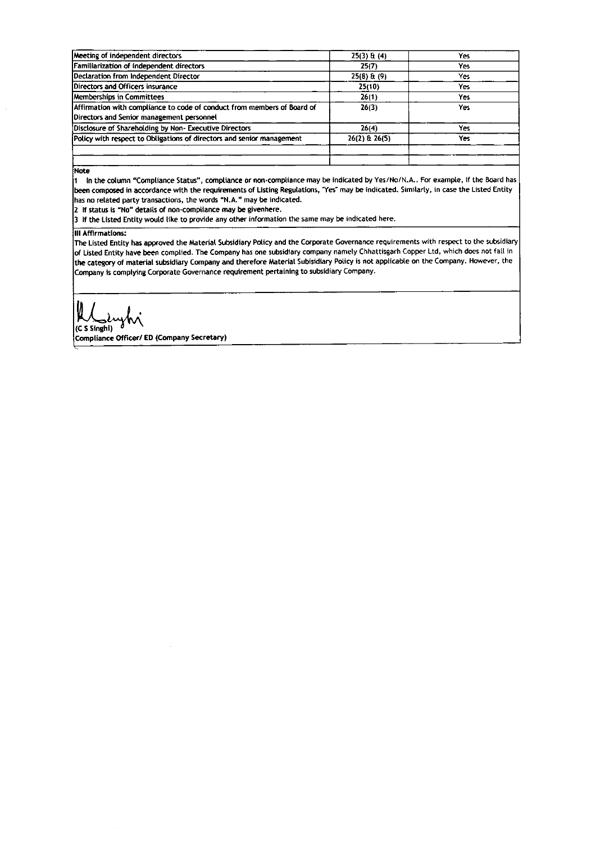| Meeting of independent directors                                        | $25(3)$ & (4)   | Yes  |
|-------------------------------------------------------------------------|-----------------|------|
| Familiarization of independent directors                                | 25(7)           | Yes: |
| Declaration from Independent Director                                   | $25(8)$ & $(9)$ | Yes  |
| Directors and Officers insurance                                        | 25(10)          | Yes  |
| <b>Memberships in Committees</b>                                        | 26(1)           | Yes. |
| Affirmation with compliance to code of conduct from members of Board of | 26(3)           | Yes. |
| Directors and Senior management personnel                               |                 |      |
| Disclosure of Shareholding by Non-Executive Directors                   | 26(4)           | Yes  |
| Policy with respect to Obligations of directors and senior management   | 26(2) & 26(5)   | Yes. |
|                                                                         |                 |      |
|                                                                         |                 |      |

Note

1 In the column "Compliance Status", compliance or non-compliance may be indicated by Yes/No/N.A.. For example, if the Board has been composed in accordance with the requirements of Listing Regulations, "Yes" may be indicated. Similarly, in case the Listed Entity has no related party transactions, the words "N.A." may be indicated.

2 If status is "No" details of non-compliance may be givenhere.

3 If the Listed Entity would like to provide any other information the same may be indicated here.

## **III Affirmations:**

The Listed Entity has approved the Material Subsidiary Policy and the Corporate Governance requirements with respect to the subsidiary of Listed Entity have been complied. The Company has one subsidiary company namely Chhattisgarh Copper Ltd, which does not fall in the category of material subsidiary Company and therefore Material Subisidiary Policy is not applicable on the Company. However, the Company is complying Corporate Governance requirement pertaining to subsidiary Company.

VI (C S Singhi)

Compliance Officer/ ED (Company Secretary)